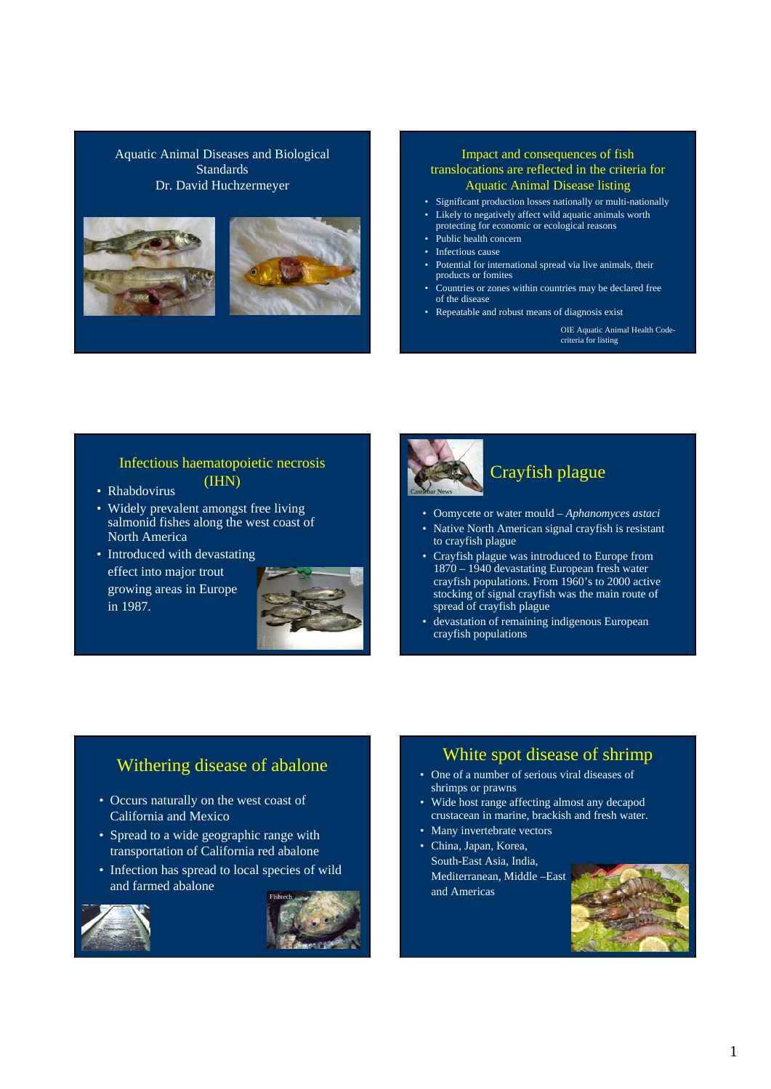Aquatic Animal Diseases and Biological **Standards** Dr. David Huchzermeyer





### Impact and consequences of fish translocations are reflected in the criteria for Aquatic Animal Disease listing

- Significant production losses nationally or multi-nationally
- Likely to negatively affect wild aquatic animals worth
- protecting for economic or ecological reasons
- Public health concern
- Infectious cause
- Potential for international spread via live animals, their products or fomites
- Countries or zones within countries may be declared free of the disease
- Repeatable and robust means of diagnosis exist

OIE Aquatic Animal Health Codecriteria for listing

# Infectious haematopoietic necrosis

- (IHN) Rhabdovirus
- Widely prevalent amongst free living salmonid fishes along the west coast of North America
- Introduced with devastating effect into major trout growing areas in Europe in 1987.





# Crayfish plague

- Oomycete or water mould *Aphanomyces astaci*
- Native North American signal crayfish is resistant to crayfish plague
- Crayfish plague was introduced to Europe from 1870 – 1940 devastating European fresh water crayfish populations. From 1960's to 2000 active stocking of signal crayfish was the main route of spread of crayfish plague
- devastation of remaining indigenous European crayfish populations

## Withering disease of abalone

- Occurs naturally on the west coast of California and Mexico
- Spread to a wide geographic range with transportation of California red abalone
- Infection has spread to local species of wild and farmed abalone





## White spot disease of shrimp

- One of a number of serious viral diseases of shrimps or prawns
- Wide host range affecting almost any decapod crustacean in marine, brackish and fresh water.
- Many invertebrate vectors
- China, Japan, Korea, South-East Asia, India, Mediterranean, Middle –East and Americas

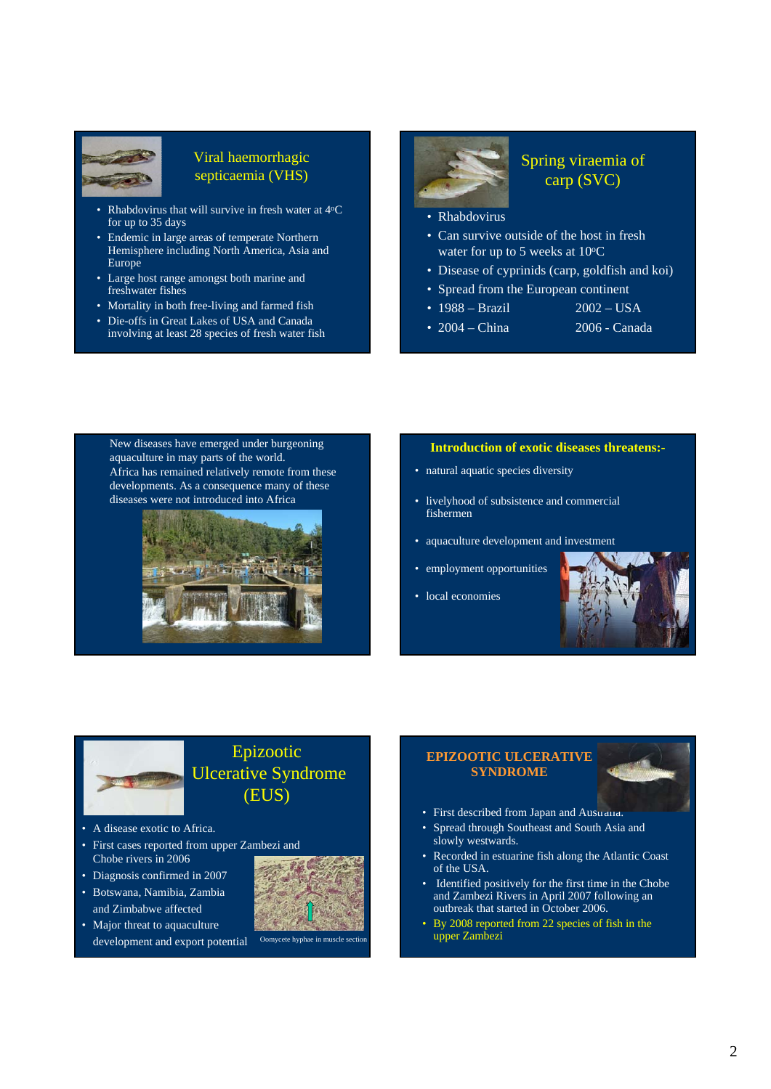

## Viral haemorrhagic septicaemia (VHS)

- Rhabdovirus that will survive in fresh water at 4°C for up to 35 days
- Endemic in large areas of temperate Northern Hemisphere including North America, Asia and Europe
- Large host range amongst both marine and freshwater fishes
- Mortality in both free-living and farmed fish
- Die-offs in Great Lakes of USA and Canada involving at least 28 species of fresh water fish

## Spring viraemia of carp (SVC)

- Rhabdovirus
- Can survive outside of the host in fresh water for up to 5 weeks at  $10^{\circ}$ C
- Disease of cyprinids (carp, goldfish and koi)
- Spread from the European continent
- 1988 Brazil 2002 USA
- 
- 2004 China 2006 Canada

New diseases have emerged under burgeoning aquaculture in may parts of the world. Africa has remained relatively remote from these developments. As a consequence many of these diseases were not introduced into Africa



#### **Introduction of exotic diseases threatens:-**

- natural aquatic species diversity
- livelyhood of subsistence and commercial fishermen
- aquaculture development and investment
- employment opportunities
- local economies





# Epizootic Ulcerative Syndrome (EUS)

- A disease exotic to Africa.
- First cases reported from upper Zambezi and Chobe rivers in 2006
- Diagnosis confirmed in 2007
- Botswana, Namibia, Zambia and Zimbabwe affected
- Major threat to aquaculture development and export potential Oomycete hyphae in muscle s



## **EPIZOOTIC ULCERATIVE SYNDROME**

- 
- First described from Japan and Austrana.
- Spread through Southeast and South Asia and slowly westwards.
- Recorded in estuarine fish along the Atlantic Coast of the USA.
- Identified positively for the first time in the Chobe and Zambezi Rivers in April 2007 following an outbreak that started in October 2006.
- By 2008 reported from 22 species of fish in the upper Zambezi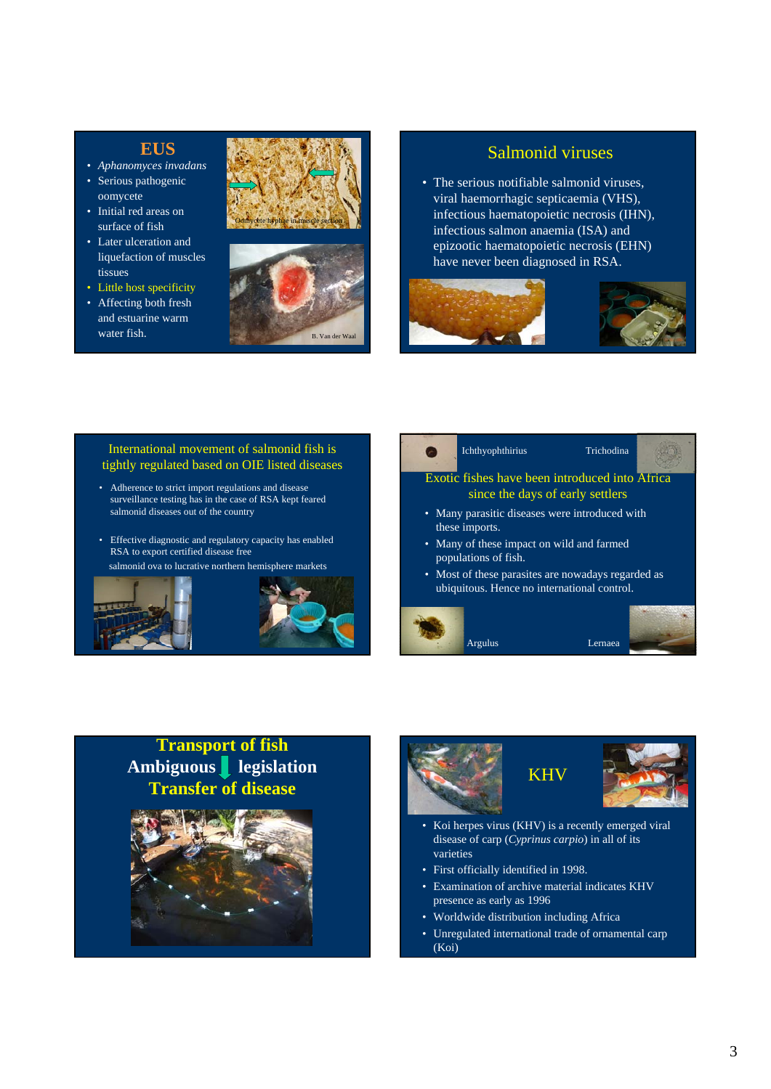## **EUS**

- *Aphanomyces invadans*
- Serious pathogenic oomycete
- Initial red areas on surface of fish
- Later ulceration and liquefaction of muscles tissues
- Little host specificity
- Affecting both fresh and estuarine warm





## Salmonid viruses

• The serious notifiable salmonid viruses, viral haemorrhagic septicaemia (VHS), infectious haematopoietic necrosis (IHN), infectious salmon anaemia (ISA) and epizootic haematopoietic necrosis (EHN) have never been diagnosed in RSA.



#### International movement of salmonid fish is tightly regulated based on OIE listed diseases

- Adherence to strict import regulations and disease surveillance testing has in the case of RSA kept feared salmonid diseases out of the country
- Effective diagnostic and regulatory capacity has enabled RSA to export certified disease free

salmonid ova to lucrative northern hemisphere markets





# **Transport of fish Ambiguous legislation Transfer of disease**





- Koi herpes virus (KHV) is a recently emerged viral disease of carp (*Cyprinus carpio*) in all of its varieties
- First officially identified in 1998.
- Examination of archive material indicates KHV presence as early as 1996
- Worldwide distribution including Africa
- Unregulated international trade of ornamental carp (Koi)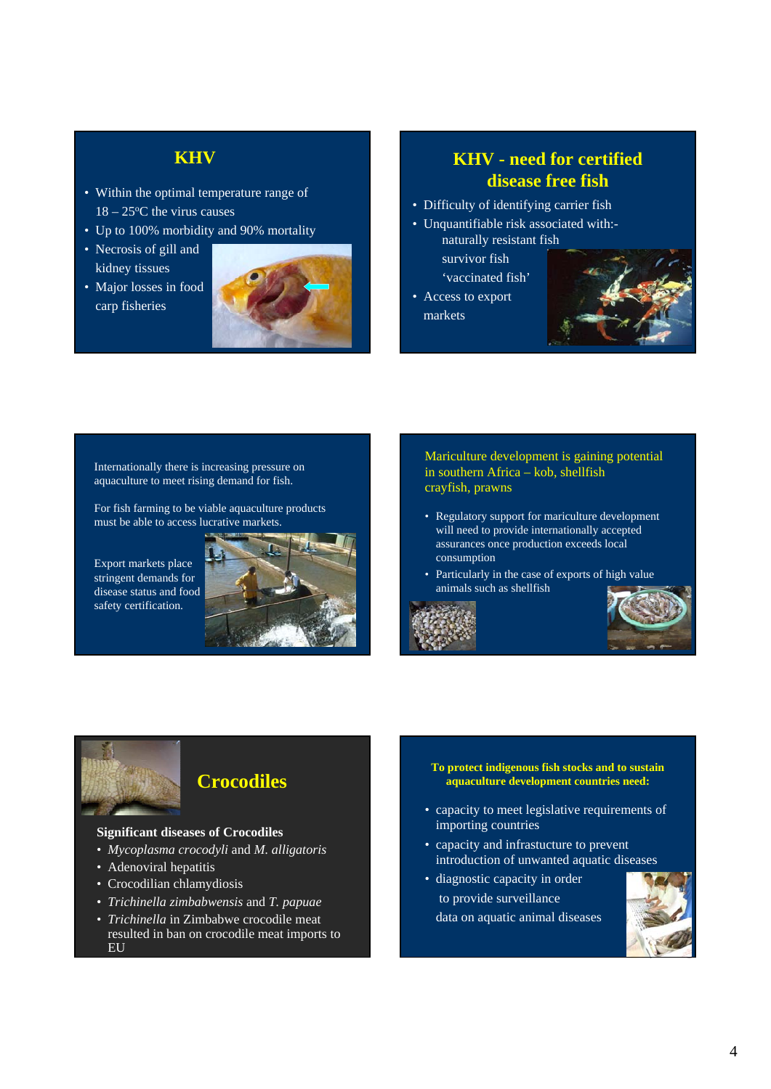# **KHV**

- Within the optimal temperature range of  $18 - 25$ <sup>o</sup>C the virus causes
- Up to 100% morbidity and 90% mortality
- Necrosis of gill and kidney tissues
- Major losses in food carp fisheries



# **KHV - need for certified disease free fish**

- Difficulty of identifying carrier fish
- Unquantifiable risk associated with: naturally resistant fish

survivor fish 'vaccinated fish'

• Access to export markets



Internationally there is increasing pressure on aquaculture to meet rising demand for fish.

For fish farming to be viable aquaculture products must be able to access lucrative markets.

Export markets place stringent demands for disease status and food safety certification.



Mariculture development is gaining potential in southern Africa – kob, shellfish crayfish, prawns

- Regulatory support for mariculture development will need to provide internationally accepted assurances once production exceeds local consumption
- Particularly in the case of exports of high value animals such as shellfish







# **Crocodiles**

#### **Significant diseases of Crocodiles**

- *Mycoplasma crocodyli* and *M. alligatoris*
- Adenoviral hepatitis
- Crocodilian chlamydiosis
- *Trichinella zimbabwensis* and *T. papuae*
- *Trichinella* in Zimbabwe crocodile meat resulted in ban on crocodile meat imports to EU
- **To protect indigenous fish stocks and to sustain aquaculture development countries need:**
- capacity to meet legislative requirements of importing countries
- capacity and infrastucture to prevent introduction of unwanted aquatic diseases
- diagnostic capacity in order to provide surveillance data on aquatic animal diseases